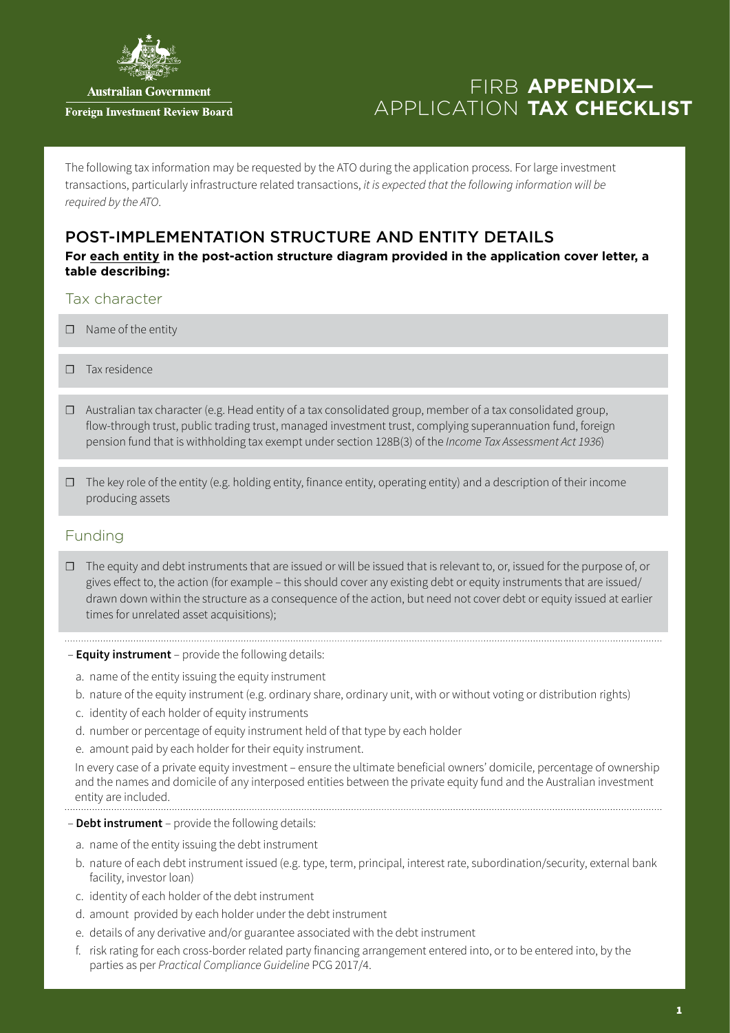

**Australian Government** 

#### **Foreign Investment Review Board**

# FIRB **APPENDIX-**APPLICATION TAX CHECKLIST

The following tax information may be requested by the ATO during the application process. For large investment transactions, particularly infrastructure related transactions, *it is expected that the following information will be required by the ATO*.

## POST-IMPLEMENTATION STRUCTURE AND ENTITY DETAILS

**For each entity in the post-action structure diagram provided in the application cover letter, a table describing:**

## Tax character

- ☐ Name of the entity
- ☐ Tax residence
- ☐ Australian tax character (e.g. Head entity of a tax consolidated group, member of a tax consolidated group, flow-through trust, public trading trust, managed investment trust, complying superannuation fund, foreign pension fund that is withholding tax exempt under section 128B(3) of the *Income Tax Assessment Act 1936*)
- $\Box$  The key role of the entity (e.g. holding entity, finance entity, operating entity) and a description of their income producing assets

## Funding

☐ The equity and debt instruments that are issued or will be issued that is relevant to, or, issued for the purpose of, or gives effect to, the action (for example – this should cover any existing debt or equity instruments that are issued/ drawn down within the structure as a consequence of the action, but need not cover debt or equity issued at earlier times for unrelated asset acquisitions);

#### – **Equity instrument** – provide the following details:

- a. name of the entity issuing the equity instrument
- b. nature of the equity instrument (e.g. ordinary share, ordinary unit, with or without voting or distribution rights)
- c. identity of each holder of equity instruments
- d. number or percentage of equity instrument held of that type by each holder
- e. amount paid by each holder for their equity instrument.

In every case of a private equity investment – ensure the ultimate beneficial owners' domicile, percentage of ownership and the names and domicile of any interposed entities between the private equity fund and the Australian investment entity are included.

#### – **Debt instrument** – provide the following details:

- a. name of the entity issuing the debt instrument
- b. nature of each debt instrument issued (e.g. type, term, principal, interest rate, subordination/security, external bank facility, investor loan)
- c. identity of each holder of the debt instrument
- d. amount provided by each holder under the debt instrument
- e. details of any derivative and/or guarantee associated with the debt instrument
- f. risk rating for each cross-border related party financing arrangement entered into, or to be entered into, by the parties as per *Practical Compliance Guideline* PCG 2017/4.